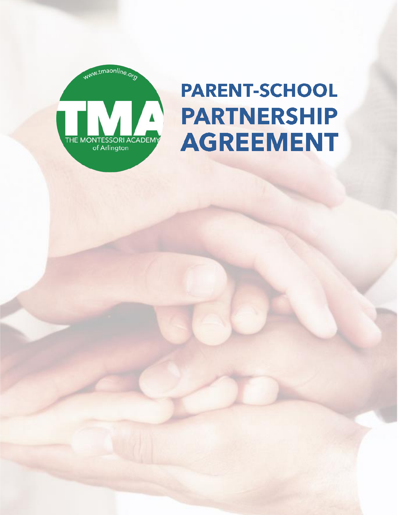

# **PARENT-SCHOOL PARTNERSHIP AGREEMENT**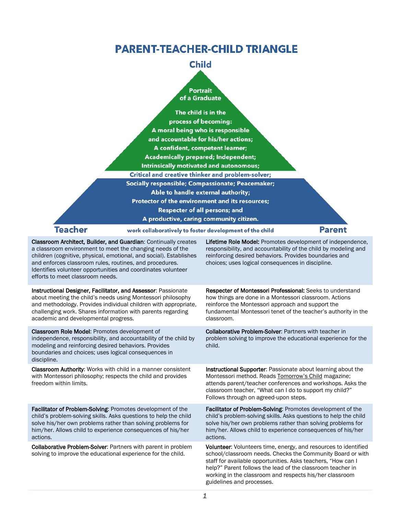# **PARENT-TEACHER-CHILD TRIANGLE**

### **Child**

#### **Portrait** of a Graduate

|         | The child is in the<br>process of becoming:<br>A moral being who is responsible<br>and accountable for his/her actions;<br>A confident, competent learner;<br><b>Academically prepared; Independent;</b><br>Intrinsically motivated and autonomous; |               |
|---------|-----------------------------------------------------------------------------------------------------------------------------------------------------------------------------------------------------------------------------------------------------|---------------|
|         | <b>Critical and creative thinker and problem-solver;</b>                                                                                                                                                                                            |               |
|         | <b>Socially responsible; Compassionate; Peacemaker;</b><br>Able to handle external authority;<br>Protector of the environment and its resources;<br><b>Respecter of all persons; and</b>                                                            |               |
|         | A productive, caring community citizen.                                                                                                                                                                                                             |               |
| 'eacher | work collaboratively to foster development of the child                                                                                                                                                                                             | <b>Parent</b> |
|         |                                                                                                                                                                                                                                                     |               |

Classroom Architect, Builder, and Guardian: Continually creates a classroom environment to meet the changing needs of the children (cognitive, physical, emotional, and social). Establishes and enforces classroom rules, routines, and procedures. Identifies volunteer opportunities and coordinates volunteer efforts to meet classroom needs.

Lifetime Role Model: Promotes development of independence, responsibility, and accountability of the child by modeling and reinforcing desired behaviors. Provides boundaries and choices; uses logical consequences in discipline.

Instructional Designer, Facilitator, and Assessor: Passionate about meeting the child's needs using Montessori philosophy and methodology. Provides individual children with appropriate, challenging work. Shares information with parents regarding academic and developmental progress.

Classroom Role Model: Promotes development of independence, responsibility, and accountability of the child by modeling and reinforcing desired behaviors. Provides boundaries and choices; uses logical consequences in discipline.

Classroom Authority: Works with child in a manner consistent with Montessori philosophy; respects the child and provides freedom within limits.

Facilitator of Problem-Solving: Promotes development of the child's problem-solving skills. Asks questions to help the child solve his/her own problems rather than solving problems for him/her. Allows child to experience consequences of his/her actions.

Collaborative Problem-Solver: Partners with parent in problem solving to improve the educational experience for the child.

Respecter of Montessori Professional: Seeks to understand how things are done in a Montessori classroom. Actions reinforce the Montessori approach and support the fundamental Montessori tenet of the teacher's authority in the classroom.

Collaborative Problem-Solver: Partners with teacher in problem solving to improve the educational experience for the child.

Instructional Supporter: Passionate about learning about the Montessori method. Reads Tomorrow's Child magazine; attends parent/teacher conferences and workshops. Asks the classroom teacher, "What can I do to support my child?" Follows through on agreed-upon steps.

Facilitator of Problem-Solving: Promotes development of the child's problem-solving skills. Asks questions to help the child solve his/her own problems rather than solving problems for him/her. Allows child to experience consequences of his/her actions.

Volunteer: Volunteers time, energy, and resources to identified school/classroom needs. Checks the Community Board or with staff for available opportunities. Asks teachers, "How can I help?" Parent follows the lead of the classroom teacher in working in the classroom and respects his/her classroom guidelines and processes.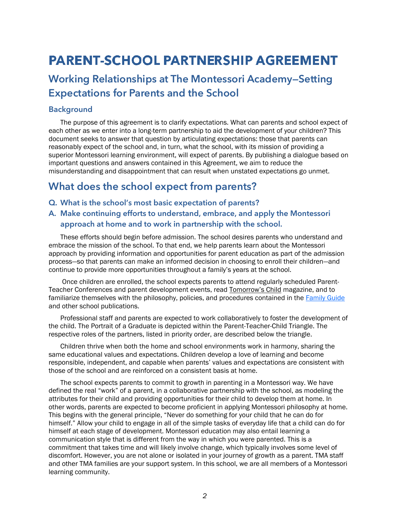# **PARENT-SCHOOL PARTNERSHIP AGREEMENT**

# **Working Relationships at The Montessori Academy—Setting Expectations for Parents and the School**

#### **Background**

The purpose of this agreement is to clarify expectations. What can parents and school expect of each other as we enter into a long-term partnership to aid the development of your children? This document seeks to answer that question by articulating expectations: those that parents can reasonably expect of the school and, in turn, what the school, with its mission of providing a superior Montessori learning environment, will expect of parents. By publishing a dialogue based on important questions and answers contained in this Agreement, we aim to reduce the misunderstanding and disappointment that can result when unstated expectations go unmet.

# **What does the school expect from parents?**

- **Q. What is the school's most basic expectation of parents?**
- **A. Make continuing efforts to understand, embrace, and apply the Montessori approach at home and to work in partnership with the school.**

These efforts should begin before admission. The school desires parents who understand and embrace the mission of the school. To that end, we help parents learn about the Montessori approach by providing information and opportunities for parent education as part of the admission process—so that parents can make an informed decision in choosing to enroll their children—and continue to provide more opportunities throughout a family's years at the school.

Once children are enrolled, the school expects parents to attend regularly scheduled Parent-Teacher Conferences and parent development events, read Tomorrow's Child magazine, and to familiarize themselves with the philosophy, policies, and procedures contained in the [Family Guide](https://indd.adobe.com/view/53b669c4-445e-4ea3-86ca-051dec2a3ea1) and other school publications.

Professional staff and parents are expected to work collaboratively to foster the development of the child. The Portrait of a Graduate is depicted within the Parent-Teacher-Child Triangle. The respective roles of the partners, listed in priority order, are described below the triangle.

Children thrive when both the home and school environments work in harmony, sharing the same educational values and expectations. Children develop a love of learning and become responsible, independent, and capable when parents' values and expectations are consistent with those of the school and are reinforced on a consistent basis at home.

The school expects parents to commit to growth in parenting in a Montessori way. We have defined the real "work" of a parent, in a collaborative partnership with the school, as modeling the attributes for their child and providing opportunities for their child to develop them at home. In other words, parents are expected to become proficient in applying Montessori philosophy at home. This begins with the general principle, "Never do something for your child that he can do for himself." Allow your child to engage in all of the simple tasks of everyday life that a child can do for himself at each stage of development. Montessori education may also entail learning a communication style that is different from the way in which you were parented. This is a commitment that takes time and will likely involve change, which typically involves some level of discomfort. However, you are not alone or isolated in your journey of growth as a parent. TMA staff and other TMA families are your support system. In this school, we are all members of a Montessori learning community.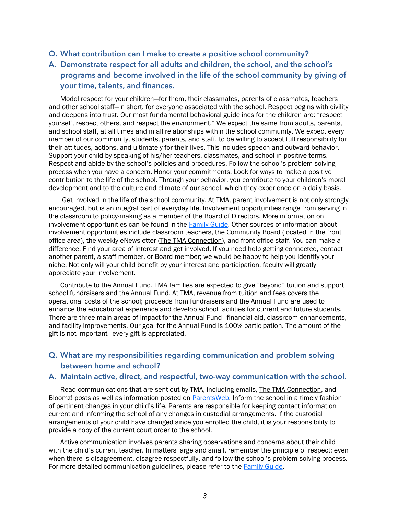- **Q. What contribution can I make to create a positive school community?**
- **A. Demonstrate respect for all adults and children, the school, and the school's programs and become involved in the life of the school community by giving of your time, talents, and finances.**

Model respect for your children—for them, their classmates, parents of classmates, teachers and other school staff—in short, for everyone associated with the school. Respect begins with civility and deepens into trust. Our most fundamental behavioral guidelines for the children are: "respect yourself, respect others, and respect the environment." We expect the same from adults, parents, and school staff, at all times and in all relationships within the school community. We expect every member of our community, students, parents, and staff, to be willing to accept full responsibility for their attitudes, actions, and ultimately for their lives. This includes speech and outward behavior. Support your child by speaking of his/her teachers, classmates, and school in positive terms. Respect and abide by the school's policies and procedures. Follow the school's problem solving process when you have a concern. Honor your commitments. Look for ways to make a positive contribution to the life of the school. Through your behavior, you contribute to your children's moral development and to the culture and climate of our school, which they experience on a daily basis.

Get involved in the life of the school community. At TMA, parent involvement is not only strongly encouraged, but is an integral part of everyday life. Involvement opportunities range from serving in the classroom to policy-making as a member of the Board of Directors. More information on involvement opportunities can be found in the [Family Guide.](https://indd.adobe.com/view/53b669c4-445e-4ea3-86ca-051dec2a3ea1) Other sources of information about involvement opportunities include classroom teachers, the Community Board (located in the front office area), the weekly eNewsletter (The TMA Connection), and front office staff. You can make a difference. Find your area of interest and get involved. If you need help getting connected, contact another parent, a staff member, or Board member; we would be happy to help you identify your niche. Not only will your child benefit by your interest and participation, faculty will greatly appreciate your involvement.

Contribute to the Annual Fund. TMA families are expected to give "beyond" tuition and support school fundraisers and the Annual Fund. At TMA, revenue from tuition and fees covers the operational costs of the school; proceeds from fundraisers and the Annual Fund are used to enhance the educational experience and develop school facilities for current and future students. There are three main areas of impact for the Annual Fund—financial aid, classroom enhancements, and facility improvements. Our goal for the Annual Fund is 100% participation. The amount of the gift is not important—every gift is appreciated.

#### **Q. What are my responsibilities regarding communication and problem solving between home and school?**

#### **A. Maintain active, direct, and respectful, two-way communication with the school.**

Read communications that are sent out by TMA, including emails, The TMA Connection, and Bloomz! posts as well as information posted on [ParentsWeb.](https://tmaa-tx.client.renweb.com/pwr/) Inform the school in a timely fashion of pertinent changes in your child's life. Parents are responsible for keeping contact information current and informing the school of any changes in custodial arrangements. If the custodial arrangements of your child have changed since you enrolled the child, it is your responsibility to provide a copy of the current court order to the school.

Active communication involves parents sharing observations and concerns about their child with the child's current teacher. In matters large and small, remember the principle of respect; even when there is disagreement, disagree respectfully, and follow the school's problem-solving process. For more detailed communication guidelines, please refer to the [Family Guide.](https://indd.adobe.com/view/53b669c4-445e-4ea3-86ca-051dec2a3ea1)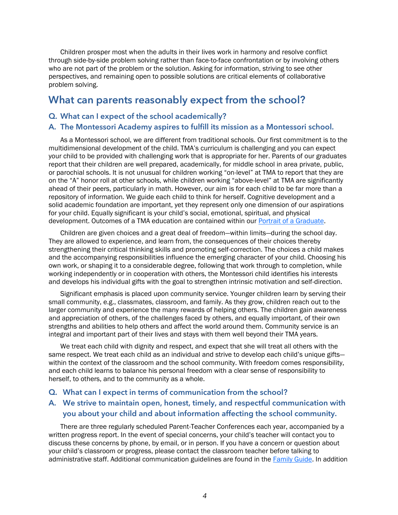Children prosper most when the adults in their lives work in harmony and resolve conflict through side-by-side problem solving rather than face-to-face confrontation or by involving others who are not part of the problem or the solution. Asking for information, striving to see other perspectives, and remaining open to possible solutions are critical elements of collaborative problem solving.

## **What can parents reasonably expect from the school?**

#### **Q. What can I expect of the school academically?**

#### **A. The Montessori Academy aspires to fulfill its mission as a Montessori school.**

As a Montessori school, we are different from traditional schools. Our first commitment is to the multidimensional development of the child. TMA's curriculum is challenging and you can expect your child to be provided with challenging work that is appropriate for her. Parents of our graduates report that their children are well prepared, academically, for middle school in area private, public, or parochial schools. It is not unusual for children working "on-level" at TMA to report that they are on the "A" honor roll at other schools, while children working "above-level" at TMA are significantly ahead of their peers, particularly in math. However, our aim is for each child to be far more than a repository of information. We guide each child to think for herself. Cognitive development and a solid academic foundation are important, yet they represent only one dimension of our aspirations for your child. Equally significant is your child's social, emotional, spiritual, and physical development. Outcomes of a TMA education are contained within our **Portrait of a Graduate**.

Children are given choices and a great deal of freedom—within limits—during the school day. They are allowed to experience, and learn from, the consequences of their choices thereby strengthening their critical thinking skills and promoting self-correction. The choices a child makes and the accompanying responsibilities influence the emerging character of your child. Choosing his own work, or shaping it to a considerable degree, following that work through to completion, while working independently or in cooperation with others, the Montessori child identifies his interests and develops his individual gifts with the goal to strengthen intrinsic motivation and self-direction.

Significant emphasis is placed upon community service. Younger children learn by serving their small community, e.g., classmates, classroom, and family. As they grow, children reach out to the larger community and experience the many rewards of helping others. The children gain awareness and appreciation of others, of the challenges faced by others, and equally important, of their own strengths and abilities to help others and affect the world around them. Community service is an integral and important part of their lives and stays with them well beyond their TMA years.

We treat each child with dignity and respect, and expect that she will treat all others with the same respect. We treat each child as an individual and strive to develop each child's unique giftswithin the context of the classroom and the school community. With freedom comes responsibility, and each child learns to balance his personal freedom with a clear sense of responsibility to herself, to others, and to the community as a whole.

#### **Q. What can I expect in terms of communication from the school?**

#### **A. We strive to maintain open, honest, timely, and respectful communication with you about your child and about information affecting the school community.**

There are three regularly scheduled Parent-Teacher Conferences each year, accompanied by a written progress report. In the event of special concerns, your child's teacher will contact you to discuss these concerns by phone, by email, or in person. If you have a concern or question about your child's classroom or progress, please contact the classroom teacher before talking to administrative staff. Additional communication guidelines are found in the [Family Guide.](https://indd.adobe.com/view/53b669c4-445e-4ea3-86ca-051dec2a3ea1) In addition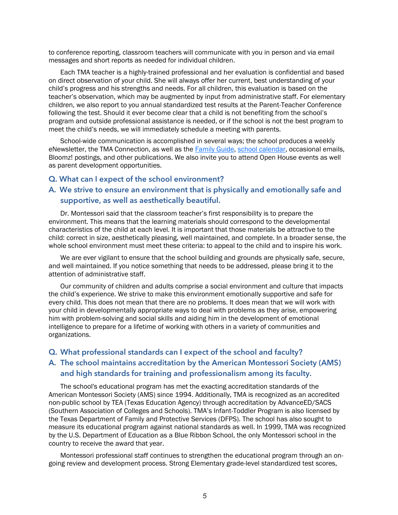to conference reporting, classroom teachers will communicate with you in person and via email messages and short reports as needed for individual children.

Each TMA teacher is a highly-trained professional and her evaluation is confidential and based on direct observation of your child. She will always offer her current, best understanding of your child's progress and his strengths and needs. For all children, this evaluation is based on the teacher's observation, which may be augmented by input from administrative staff. For elementary children, we also report to you annual standardized test results at the Parent-Teacher Conference following the test. Should it ever become clear that a child is not benefiting from the school's program and outside professional assistance is needed, or if the school is not the best program to meet the child's needs, we will immediately schedule a meeting with parents.

School-wide communication is accomplished in several ways; the school produces a weekly eNewsletter, the TMA Connection, as well as the [Family Guide,](https://indd.adobe.com/view/53b669c4-445e-4ea3-86ca-051dec2a3ea1) [school calendar,](http://tmaonline.org/index.php/calendar-events/calendar) occasional emails, Bloomz! postings, and other publications. We also invite you to attend Open House events as well as parent development opportunities.

#### **Q. What can I expect of the school environment?**

#### **A. We strive to ensure an environment that is physically and emotionally safe and supportive, as well as aesthetically beautiful.**

Dr. Montessori said that the classroom teacher's first responsibility is to prepare the environment. This means that the learning materials should correspond to the developmental characteristics of the child at each level. It is important that those materials be attractive to the child: correct in size, aesthetically pleasing, well maintained, and complete. In a broader sense, the whole school environment must meet these criteria: to appeal to the child and to inspire his work.

We are ever vigilant to ensure that the school building and grounds are physically safe, secure, and well maintained. If you notice something that needs to be addressed, please bring it to the attention of administrative staff.

Our community of children and adults comprise a social environment and culture that impacts the child's experience. We strive to make this environment emotionally supportive and safe for every child. This does not mean that there are no problems. It does mean that we will work with your child in developmentally appropriate ways to deal with problems as they arise, empowering him with problem-solving and social skills and aiding him in the development of emotional intelligence to prepare for a lifetime of working with others in a variety of communities and organizations.

#### **Q. What professional standards can I expect of the school and faculty?**

#### **A. The school maintains accreditation by the American Montessori Society (AMS) and high standards for training and professionalism among its faculty.**

The school's educational program has met the exacting accreditation standards of the American Montessori Society (AMS) since 1994. Additionally, TMA is recognized as an accredited non-public school by TEA (Texas Education Agency) through accreditation by AdvanceED/SACS (Southern Association of Colleges and Schools). TMA's Infant-Toddler Program is also licensed by the Texas Department of Family and Protective Services (DFPS). The school has also sought to measure its educational program against national standards as well. In 1999, TMA was recognized by the U.S. Department of Education as a Blue Ribbon School, the only Montessori school in the country to receive the award that year.

Montessori professional staff continues to strengthen the educational program through an ongoing review and development process. Strong Elementary grade-level standardized test scores,